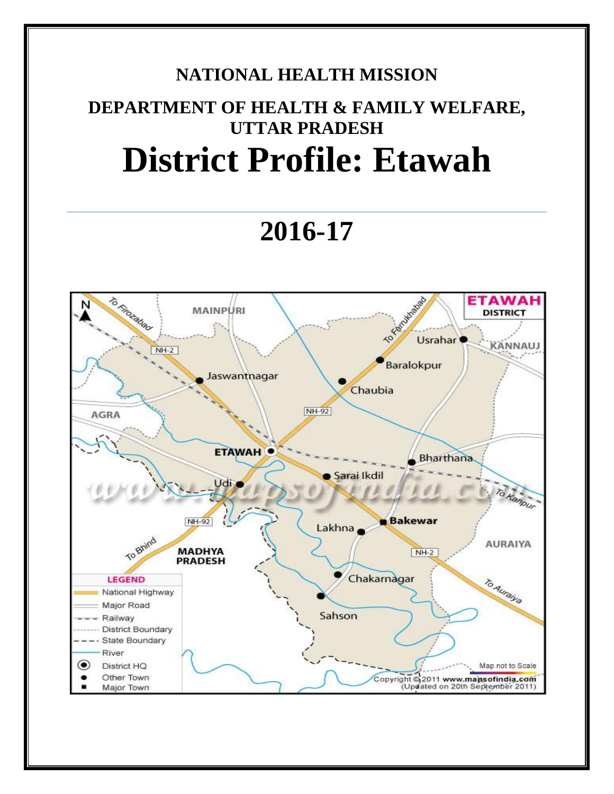## **NATIONAL HEALTH MISSION**

# **DEPARTMENT OF HEALTH & FAMILY WELFARE, UTTAR PRADESH District Profile: Etawah**

# **2016-17**

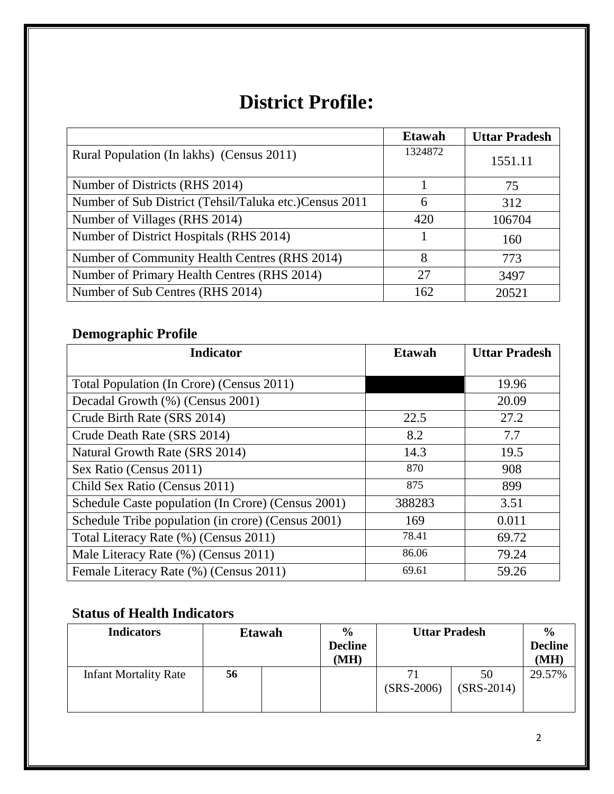## **District Profile:**

|                                                         | <b>Etawah</b> | <b>Uttar Pradesh</b> |
|---------------------------------------------------------|---------------|----------------------|
| Rural Population (In lakhs) (Census 2011)               | 1324872       | 1551.11              |
| Number of Districts (RHS 2014)                          |               | 75                   |
| Number of Sub District (Tehsil/Taluka etc.) Census 2011 | 6             | 312                  |
| Number of Villages (RHS 2014)                           | 420           | 106704               |
| Number of District Hospitals (RHS 2014)                 |               | 160                  |
| Number of Community Health Centres (RHS 2014)           | 8             | 773                  |
| Number of Primary Health Centres (RHS 2014)             | 27            | 3497                 |
| Number of Sub Centres (RHS 2014)                        | 162           | 20521                |

## **Demographic Profile**

| <b>Indicator</b>                                   | <b>Etawah</b> | <b>Uttar Pradesh</b> |
|----------------------------------------------------|---------------|----------------------|
|                                                    |               |                      |
| Total Population (In Crore) (Census 2011)          |               | 19.96                |
| Decadal Growth (%) (Census 2001)                   |               | 20.09                |
| Crude Birth Rate (SRS 2014)                        | 22.5          | 27.2                 |
| Crude Death Rate (SRS 2014)                        | 8.2           | 7.7                  |
| Natural Growth Rate (SRS 2014)                     | 14.3          | 19.5                 |
| Sex Ratio (Census 2011)                            | 870           | 908                  |
| Child Sex Ratio (Census 2011)                      | 875           | 899                  |
| Schedule Caste population (In Crore) (Census 2001) | 388283        | 3.51                 |
| Schedule Tribe population (in crore) (Census 2001) | 169           | 0.011                |
| Total Literacy Rate (%) (Census 2011)              | 78.41         | 69.72                |
| Male Literacy Rate (%) (Census 2011)               | 86.06         | 79.24                |
| Female Literacy Rate (%) (Census 2011)             | 69.61         | 59.26                |

### **Status of Health Indicators**

| <b>Indicators</b>            | $\frac{6}{9}$<br><b>Etawah</b> |  | <b>Uttar Pradesh</b>   |              | $\frac{0}{0}$ |                        |
|------------------------------|--------------------------------|--|------------------------|--------------|---------------|------------------------|
|                              |                                |  | <b>Decline</b><br>(MH) |              |               | <b>Decline</b><br>(MH) |
|                              |                                |  |                        |              |               |                        |
| <b>Infant Mortality Rate</b> | 56                             |  |                        | 71           | 50            | 29.57%                 |
|                              |                                |  |                        | $(SRS-2006)$ | $(SRS-2014)$  |                        |
|                              |                                |  |                        |              |               |                        |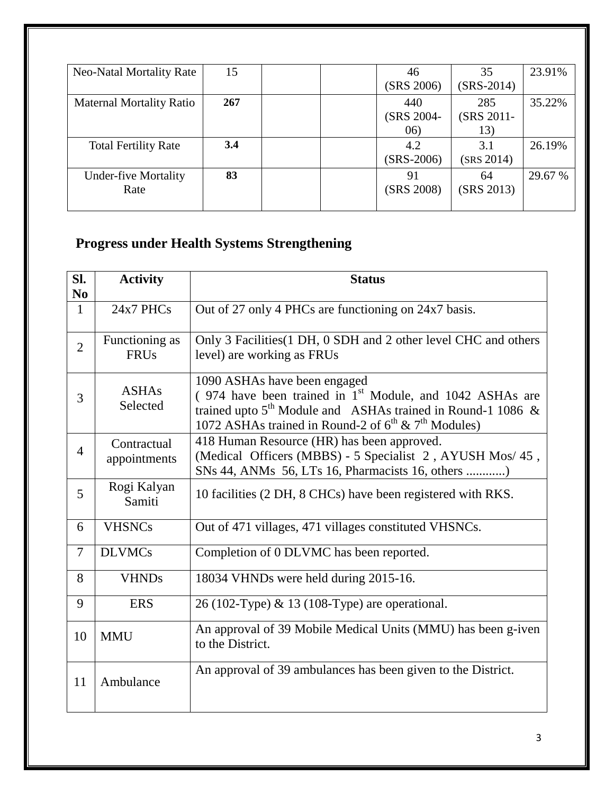| <b>Neo-Natal Mortality Rate</b> | 15  | 46           | 35           | 23.91%  |
|---------------------------------|-----|--------------|--------------|---------|
|                                 |     | (SRS 2006)   | $(SRS-2014)$ |         |
| <b>Maternal Mortality Ratio</b> | 267 | 440          | 285          | 35.22%  |
|                                 |     | (SRS 2004-   | (SRS 2011-   |         |
|                                 |     | (06)         | 13)          |         |
| <b>Total Fertility Rate</b>     | 3.4 | 4.2          | 3.1          | 26.19%  |
|                                 |     | $(SRS-2006)$ | (SRS 2014)   |         |
| <b>Under-five Mortality</b>     | 83  | 91           | 64           | 29.67 % |
| Rate                            |     | (SRS 2008)   | (SRS 2013)   |         |
|                                 |     |              |              |         |

## **Progress under Health Systems Strengthening**

| SI.<br>N <sub>0</sub> | <b>Activity</b>               | <b>Status</b>                                                                                                                                                                                                                               |
|-----------------------|-------------------------------|---------------------------------------------------------------------------------------------------------------------------------------------------------------------------------------------------------------------------------------------|
| $\mathbf{1}$          | 24x7 PHCs                     | Out of 27 only 4 PHCs are functioning on 24x7 basis.                                                                                                                                                                                        |
| $\overline{2}$        | Functioning as<br><b>FRUs</b> | Only 3 Facilities (1 DH, 0 SDH and 2 other level CHC and others<br>level) are working as FRUs                                                                                                                                               |
| 3                     | <b>ASHAs</b><br>Selected      | 1090 ASHAs have been engaged<br>$(974$ have been trained in 1 <sup>st</sup> Module, and 1042 ASHAs are<br>trained upto $5^{th}$ Module and ASHAs trained in Round-1 1086 &<br>1072 ASHAs trained in Round-2 of $6^{th}$ & $7^{th}$ Modules) |
| $\overline{4}$        | Contractual<br>appointments   | 418 Human Resource (HR) has been approved.<br>(Medical Officers (MBBS) - 5 Specialist 2, AYUSH Mos/ 45,<br>SNs 44, ANMs 56, LTs 16, Pharmacists 16, others )                                                                                |
| 5                     | Rogi Kalyan<br>Samiti         | 10 facilities (2 DH, 8 CHCs) have been registered with RKS.                                                                                                                                                                                 |
| 6                     | <b>VHSNCs</b>                 | Out of 471 villages, 471 villages constituted VHSNCs.                                                                                                                                                                                       |
| 7                     | <b>DLVMCs</b>                 | Completion of 0 DLVMC has been reported.                                                                                                                                                                                                    |
| 8                     | <b>VHNDs</b>                  | 18034 VHNDs were held during 2015-16.                                                                                                                                                                                                       |
| 9                     | <b>ERS</b>                    | 26 (102-Type) & 13 (108-Type) are operational.                                                                                                                                                                                              |
| 10                    | <b>MMU</b>                    | An approval of 39 Mobile Medical Units (MMU) has been g-iven<br>to the District.                                                                                                                                                            |
| 11                    | Ambulance                     | An approval of 39 ambulances has been given to the District.                                                                                                                                                                                |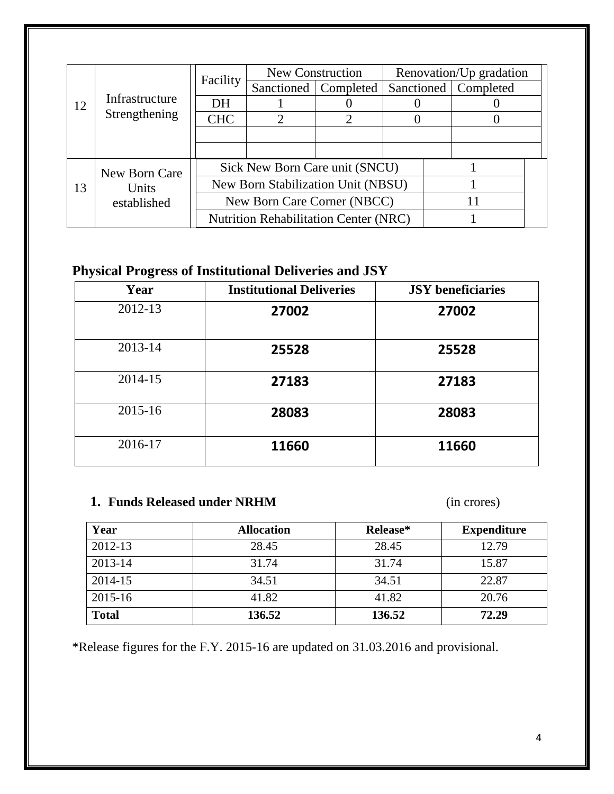| Infrastructure<br>12 | Facility      | New Construction                             |                                    | Renovation/Up gradation |                        |  |  |
|----------------------|---------------|----------------------------------------------|------------------------------------|-------------------------|------------------------|--|--|
|                      |               | Sanctioned                                   | Completed                          |                         | Sanctioned   Completed |  |  |
|                      | DH            |                                              |                                    |                         |                        |  |  |
|                      | Strengthening | <b>CHC</b>                                   |                                    |                         |                        |  |  |
|                      |               |                                              |                                    |                         |                        |  |  |
|                      |               |                                              |                                    |                         |                        |  |  |
|                      | New Born Care |                                              | Sick New Born Care unit (SNCU)     |                         |                        |  |  |
| 13                   | Units         |                                              | New Born Stabilization Unit (NBSU) |                         |                        |  |  |
|                      | established   | New Born Care Corner (NBCC)                  |                                    |                         |                        |  |  |
|                      |               | <b>Nutrition Rehabilitation Center (NRC)</b> |                                    |                         |                        |  |  |

## **Physical Progress of Institutional Deliveries and JSY**

| Year    | <b>Institutional Deliveries</b> | <b>JSY</b> beneficiaries |
|---------|---------------------------------|--------------------------|
| 2012-13 | 27002                           | 27002                    |
| 2013-14 | 25528                           | 25528                    |
| 2014-15 | 27183                           | 27183                    |
| 2015-16 | 28083                           | 28083                    |
| 2016-17 | 11660                           | 11660                    |

#### **1. Funds Released under NRHM** (in crores)

| Year         | <b>Allocation</b> | Release* | <b>Expenditure</b> |
|--------------|-------------------|----------|--------------------|
| 2012-13      | 28.45             | 28.45    | 12.79              |
| 2013-14      | 31.74             | 31.74    | 15.87              |
| 2014-15      | 34.51             | 34.51    | 22.87              |
| 2015-16      | 41.82             | 41.82    | 20.76              |
| <b>Total</b> | 136.52            | 136.52   | 72.29              |

\*Release figures for the F.Y. 2015-16 are updated on 31.03.2016 and provisional.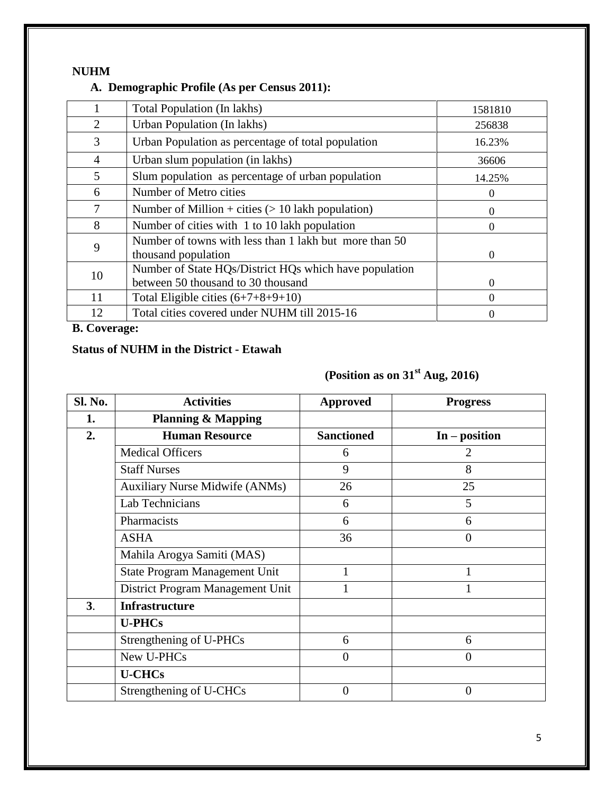#### **NUHM**

#### **A. Demographic Profile (As per Census 2011):**

|                | Total Population (In lakhs)                                                                  | 1581810  |
|----------------|----------------------------------------------------------------------------------------------|----------|
| 2              | Urban Population (In lakhs)                                                                  | 256838   |
| 3              | Urban Population as percentage of total population                                           | 16.23%   |
| $\overline{4}$ | Urban slum population (in lakhs)                                                             | 36606    |
| 5              | Slum population as percentage of urban population                                            | 14.25%   |
| 6              | Number of Metro cities                                                                       | 0        |
| 7              | Number of Million + cities $(> 10$ lakh population)                                          | 0        |
| 8              | Number of cities with 1 to 10 lakh population                                                | 0        |
| 9              | Number of towns with less than 1 lakh but more than 50<br>thousand population                | $\Omega$ |
| 10             | Number of State HQs/District HQs which have population<br>between 50 thousand to 30 thousand | 0        |
| 11             | Total Eligible cities $(6+7+8+9+10)$                                                         | 0        |
| 12             | Total cities covered under NUHM till 2015-16                                                 | 0        |

**B. Coverage:**

#### **Status of NUHM in the District - Etawah**

## **(Position as on 31st Aug, 2016)**

| Sl. No.        | <b>Activities</b>                     | <b>Approved</b>   | <b>Progress</b> |
|----------------|---------------------------------------|-------------------|-----------------|
| 1.             | <b>Planning &amp; Mapping</b>         |                   |                 |
| 2.             | <b>Human Resource</b>                 | <b>Sanctioned</b> | $In - position$ |
|                | <b>Medical Officers</b>               | 6                 | 2               |
|                | <b>Staff Nurses</b>                   | 9                 | 8               |
|                | <b>Auxiliary Nurse Midwife (ANMs)</b> | 26                | 25              |
|                | Lab Technicians                       | 6                 | 5               |
|                | Pharmacists                           | 6                 | 6               |
|                | <b>ASHA</b>                           | 36                | $\overline{0}$  |
|                | Mahila Arogya Samiti (MAS)            |                   |                 |
|                | <b>State Program Management Unit</b>  | 1                 |                 |
|                | District Program Management Unit      |                   |                 |
| 3 <sub>1</sub> | <b>Infrastructure</b>                 |                   |                 |
|                | <b>U-PHCs</b>                         |                   |                 |
|                | Strengthening of U-PHCs               | 6                 | 6               |
|                | New U-PHCs                            | $\overline{0}$    | $\overline{0}$  |
|                | <b>U-CHCs</b>                         |                   |                 |
|                | Strengthening of U-CHCs               | $\overline{0}$    | $\overline{0}$  |